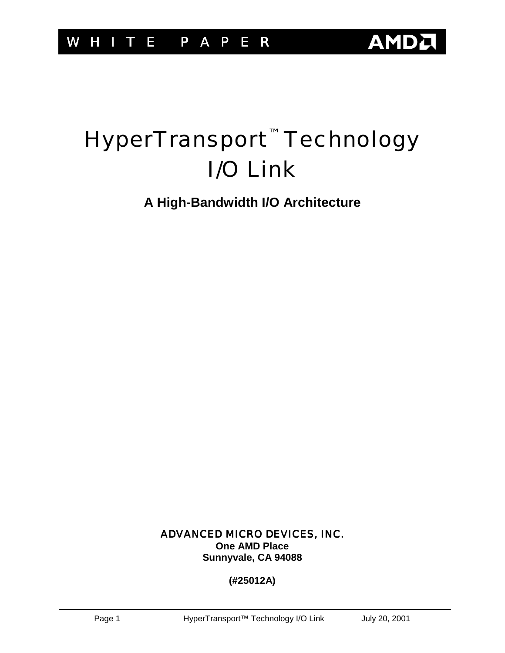# HyperTransport<sup>™</sup> Technology I/O Link

**A High-Bandwidth I/O Architecture** 

ADVANCED MICRO DEVICES, INC. **One AMD Place Sunnyvale, CA 94088** 

### **(#25012A)**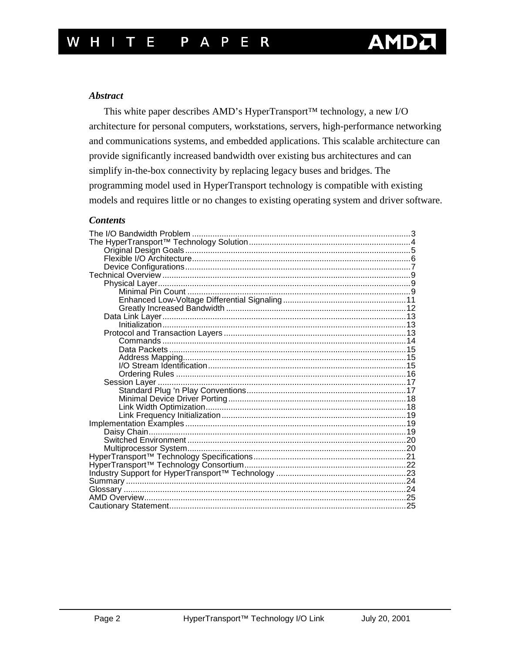#### **Abstract**

This white paper describes AMD's HyperTransport™ technology, a new I/O architecture for personal computers, workstations, servers, high-performance networking and communications systems, and embedded applications. This scalable architecture can provide significantly increased bandwidth over existing bus architectures and can simplify in-the-box connectivity by replacing legacy buses and bridges. The programming model used in HyperTransport technology is compatible with existing models and requires little or no changes to existing operating system and driver software.

#### **Contents**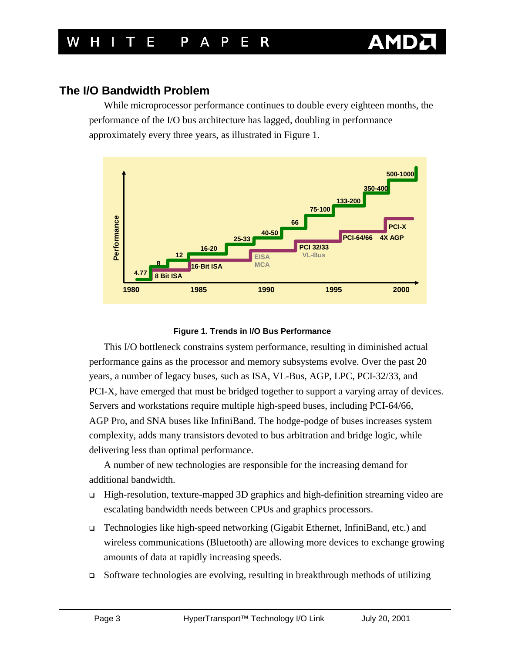<span id="page-2-0"></span>While microprocessor performance continues to double every eighteen months, the performance of the I/O bus architecture has lagged, doubling in performance approximately every three years, as illustrated in Figure 1.



#### **Figure 1. Trends in I/O Bus Performance**

This I/O bottleneck constrains system performance, resulting in diminished actual performance gains as the processor and memory subsystems evolve. Over the past 20 years, a number of legacy buses, such as ISA, VL-Bus, AGP, LPC, PCI-32/33, and PCI-X, have emerged that must be bridged together to support a varying array of devices. Servers and workstations require multiple high-speed buses, including PCI-64/66, AGP Pro, and SNA buses like InfiniBand. The hodge-podge of buses increases system complexity, adds many transistors devoted to bus arbitration and bridge logic, while delivering less than optimal performance.

A number of new technologies are responsible for the increasing demand for additional bandwidth.

- □ High-resolution, texture-mapped 3D graphics and high-definition streaming video are escalating bandwidth needs between CPUs and graphics processors.
- ! Technologies like high-speed networking (Gigabit Ethernet, InfiniBand, etc.) and wireless communications (Bluetooth) are allowing more devices to exchange growing amounts of data at rapidly increasing speeds.
- $\Box$  Software technologies are evolving, resulting in breakthrough methods of utilizing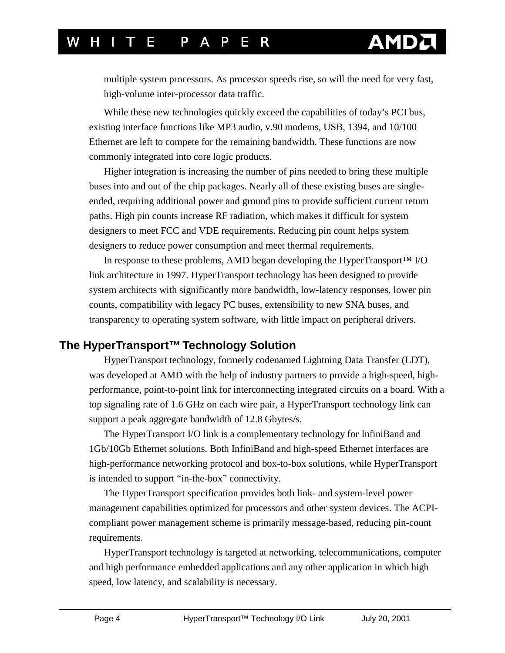# <span id="page-3-0"></span>H I T F P A P F R

multiple system processors. As processor speeds rise, so will the need for very fast, high-volume inter-processor data traffic.

While these new technologies quickly exceed the capabilities of today's PCI bus, existing interface functions like MP3 audio, v.90 modems, USB, 1394, and 10/100 Ethernet are left to compete for the remaining bandwidth. These functions are now commonly integrated into core logic products.

Higher integration is increasing the number of pins needed to bring these multiple buses into and out of the chip packages. Nearly all of these existing buses are singleended, requiring additional power and ground pins to provide sufficient current return paths. High pin counts increase RF radiation, which makes it difficult for system designers to meet FCC and VDE requirements. Reducing pin count helps system designers to reduce power consumption and meet thermal requirements.

In response to these problems, AMD began developing the HyperTransport™ I/O link architecture in 1997. HyperTransport technology has been designed to provide system architects with significantly more bandwidth, low-latency responses, lower pin counts, compatibility with legacy PC buses, extensibility to new SNA buses, and transparency to operating system software, with little impact on peripheral drivers.

### **The HyperTransport™ Technology Solution**

HyperTransport technology, formerly codenamed Lightning Data Transfer (LDT), was developed at AMD with the help of industry partners to provide a high-speed, highperformance, point-to-point link for interconnecting integrated circuits on a board. With a top signaling rate of 1.6 GHz on each wire pair, a HyperTransport technology link can support a peak aggregate bandwidth of 12.8 Gbytes/s.

The HyperTransport I/O link is a complementary technology for InfiniBand and 1Gb/10Gb Ethernet solutions. Both InfiniBand and high-speed Ethernet interfaces are high-performance networking protocol and box-to-box solutions, while HyperTransport is intended to support "in-the-box" connectivity.

The HyperTransport specification provides both link- and system-level power management capabilities optimized for processors and other system devices. The ACPIcompliant power management scheme is primarily message-based, reducing pin-count requirements.

HyperTransport technology is targeted at networking, telecommunications, computer and high performance embedded applications and any other application in which high speed, low latency, and scalability is necessary.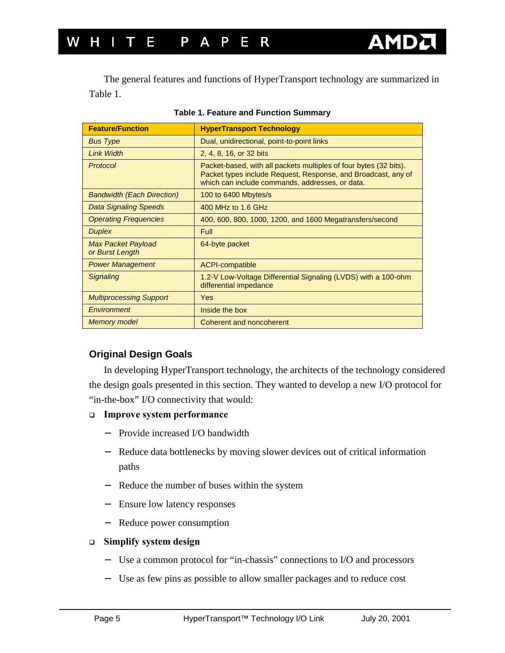<span id="page-4-0"></span>

| <b>Feature/Function</b>                      | <b>HyperTransport Technology</b>                                                                                                                                                      |
|----------------------------------------------|---------------------------------------------------------------------------------------------------------------------------------------------------------------------------------------|
| <b>Bus Type</b>                              | Dual, unidirectional, point-to-point links                                                                                                                                            |
| <b>Link Width</b>                            | 2, 4, 8, 16, or 32 bits                                                                                                                                                               |
| Protocol                                     | Packet-based, with all packets multiples of four bytes (32 bits).<br>Packet types include Request, Response, and Broadcast, any of<br>which can include commands, addresses, or data. |
| <b>Bandwidth (Each Direction)</b>            | 100 to 6400 Mbytes/s                                                                                                                                                                  |
| <b>Data Signaling Speeds</b>                 | 400 MHz to 1.6 GHz                                                                                                                                                                    |
| <b>Operating Frequencies</b>                 | 400, 600, 800, 1000, 1200, and 1600 Megatransfers/second                                                                                                                              |
| <b>Duplex</b>                                | <b>Full</b>                                                                                                                                                                           |
| <b>Max Packet Payload</b><br>or Burst Length | 64-byte packet                                                                                                                                                                        |
| <b>Power Management</b>                      | <b>ACPI-compatible</b>                                                                                                                                                                |
| <b>Signaling</b>                             | 1.2-V Low-Voltage Differential Signaling (LVDS) with a 100-ohm<br>differential impedance                                                                                              |
| <b>Multiprocessing Support</b>               | <b>Yes</b>                                                                                                                                                                            |
| Environment                                  | Inside the box                                                                                                                                                                        |
| <b>Memory model</b>                          | Coherent and noncoherent                                                                                                                                                              |

|  |  |  |  | <b>Table 1. Feature and Function Summary</b> |
|--|--|--|--|----------------------------------------------|
|--|--|--|--|----------------------------------------------|

#### **Original Design Goals**

In developing HyperTransport technology, the architects of the technology considered the design goals presented in this section. They wanted to develop a new I/O protocol for "in-the-box" I/O connectivity that would:

#### ! **Improve system performance**

- − Provide increased I/O bandwidth
- − Reduce data bottlenecks by moving slower devices out of critical information paths
- − Reduce the number of buses within the system
- − Ensure low latency responses
- − Reduce power consumption

#### ! **Simplify system design**

- − Use a common protocol for "in-chassis" connections to I/O and processors
- − Use as few pins as possible to allow smaller packages and to reduce cost

**AMI**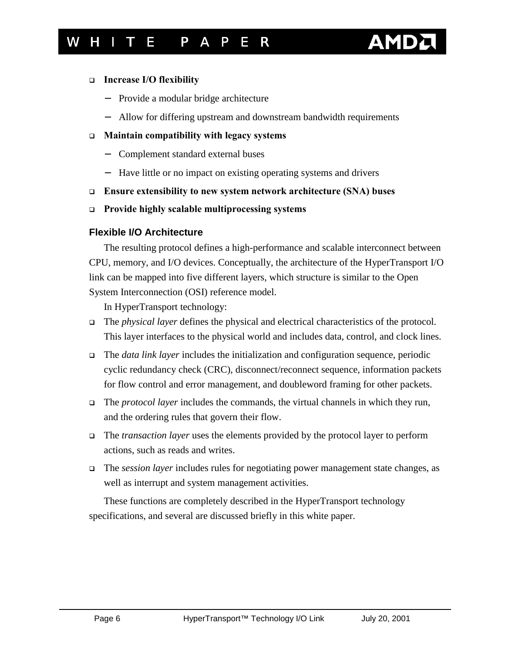# **AMI**

#### <span id="page-5-0"></span>! **Increase I/O flexibility**

- − Provide a modular bridge architecture
- − Allow for differing upstream and downstream bandwidth requirements

#### ! **Maintain compatibility with legacy systems**

- − Complement standard external buses
- − Have little or no impact on existing operating systems and drivers
- ! **Ensure extensibility to new system network architecture (SNA) buses**
- ! **Provide highly scalable multiprocessing systems**

### **Flexible I/O Architecture**

The resulting protocol defines a high-performance and scalable interconnect between CPU, memory, and I/O devices. Conceptually, the architecture of the HyperTransport I/O link can be mapped into five different layers, which structure is similar to the Open System Interconnection (OSI) reference model.

In HyperTransport technology:

- ! The *physical layer* defines the physical and electrical characteristics of the protocol. This layer interfaces to the physical world and includes data, control, and clock lines.
- ! The *data link layer* includes the initialization and configuration sequence, periodic cyclic redundancy check (CRC), disconnect/reconnect sequence, information packets for flow control and error management, and doubleword framing for other packets.
- ! The *protocol layer* includes the commands, the virtual channels in which they run, and the ordering rules that govern their flow.
- ! The *transaction layer* uses the elements provided by the protocol layer to perform actions, such as reads and writes.
- ! The *session layer* includes rules for negotiating power management state changes, as well as interrupt and system management activities.

These functions are completely described in the HyperTransport technology specifications, and several are discussed briefly in this white paper.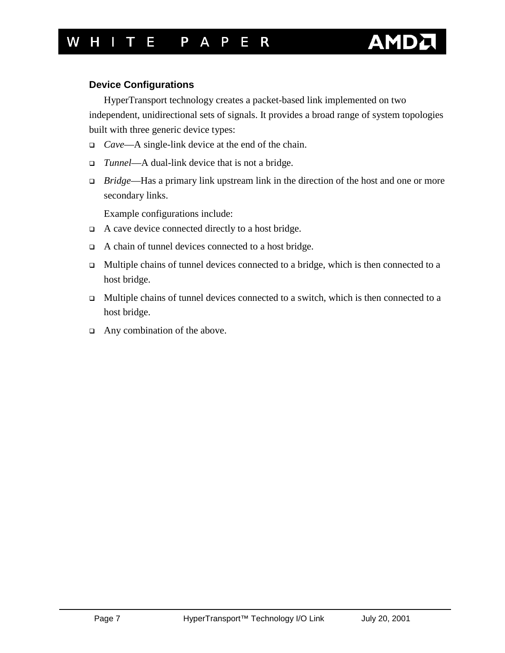# AM

#### <span id="page-6-0"></span>**Device Configurations**

HyperTransport technology creates a packet-based link implemented on two independent, unidirectional sets of signals. It provides a broad range of system topologies built with three generic device types:

- ! *Cave*—A single-link device at the end of the chain.
- ! *Tunnel*—A dual-link device that is not a bridge.
- ! *Bridge*—Has a primary link upstream link in the direction of the host and one or more secondary links.

Example configurations include:

- ! A cave device connected directly to a host bridge.
- ! A chain of tunnel devices connected to a host bridge.
- $\Box$  Multiple chains of tunnel devices connected to a bridge, which is then connected to a host bridge.
- $\Box$  Multiple chains of tunnel devices connected to a switch, which is then connected to a host bridge.
- □ Any combination of the above.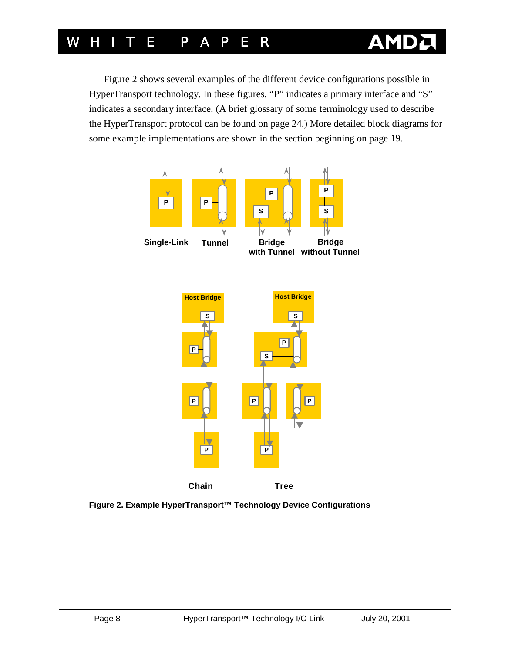# W H I T E P A <u>P E R</u>

Figure 2 shows several examples of the different device configurations possible in HyperTransport technology. In these figures, "P" indicates a primary interface and "S" indicates a secondary interface. (A brief glossary of some terminology used to describe the HyperTransport protocol can be found o[n page 24.](#page-23-0)) More detailed block diagrams for some example implementations are shown in the section beginning o[n page 19.](#page-18-0)

Δ



 **Figure 2. Example HyperTransport™ Technology Device Configurations**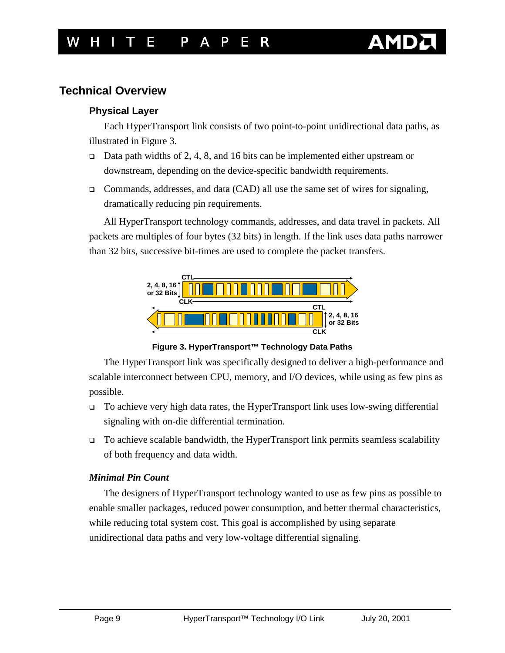### <span id="page-8-0"></span>**Technical Overview**

#### **Physical Layer**

Each HyperTransport link consists of two point-to-point unidirectional data paths, as illustrated in Figure 3.

- $\Box$  Data path widths of 2, 4, 8, and 16 bits can be implemented either upstream or downstream, depending on the device-specific bandwidth requirements.
- ! Commands, addresses, and data (CAD) all use the same set of wires for signaling, dramatically reducing pin requirements.

All HyperTransport technology commands, addresses, and data travel in packets. All packets are multiples of four bytes (32 bits) in length. If the link uses data paths narrower than 32 bits, successive bit-times are used to complete the packet transfers.



**Figure 3. HyperTransport™ Technology Data Paths** 

The HyperTransport link was specifically designed to deliver a high-performance and scalable interconnect between CPU, memory, and I/O devices, while using as few pins as possible.

- □ To achieve very high data rates, the HyperTransport link uses low-swing differential signaling with on-die differential termination.
- $\Box$  To achieve scalable bandwidth, the HyperTransport link permits seamless scalability of both frequency and data width.

#### *Minimal Pin Count*

The designers of HyperTransport technology wanted to use as few pins as possible to enable smaller packages, reduced power consumption, and better thermal characteristics, while reducing total system cost. This goal is accomplished by using separate unidirectional data paths and very low-voltage differential signaling.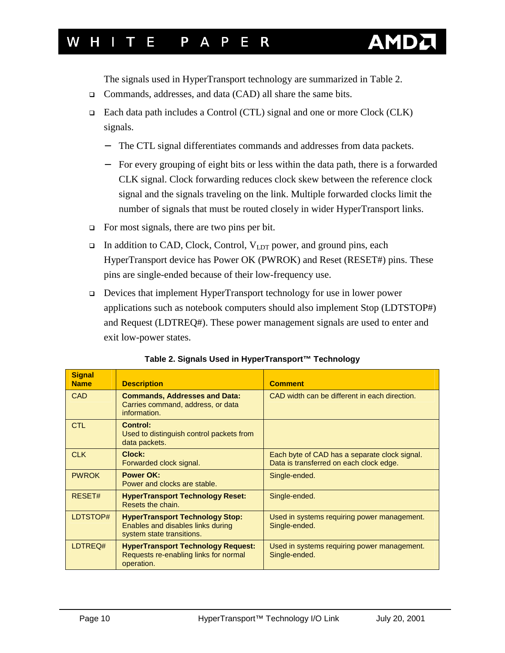

The signals used in HyperTransport technology are summarized in Table 2.

- □ Commands, addresses, and data (CAD) all share the same bits.
- ! Each data path includes a Control (CTL) signal and one or more Clock (CLK) signals.
	- − The CTL signal differentiates commands and addresses from data packets.
	- − For every grouping of eight bits or less within the data path, there is a forwarded CLK signal. Clock forwarding reduces clock skew between the reference clock signal and the signals traveling on the link. Multiple forwarded clocks limit the number of signals that must be routed closely in wider HyperTransport links.
- $\Box$  For most signals, there are two pins per bit.
- $\Box$  In addition to CAD, Clock, Control, V<sub>LDT</sub> power, and ground pins, each HyperTransport device has Power OK (PWROK) and Reset (RESET#) pins. These pins are single-ended because of their low-frequency use.
- ! Devices that implement HyperTransport technology for use in lower power applications such as notebook computers should also implement Stop (LDTSTOP#) and Request (LDTREQ#). These power management signals are used to enter and exit low-power states.

| <b>Signal</b><br><b>Name</b> | <b>Description</b>                                                                                       | <b>Comment</b>                                                                           |
|------------------------------|----------------------------------------------------------------------------------------------------------|------------------------------------------------------------------------------------------|
| <b>CAD</b>                   | <b>Commands, Addresses and Data:</b><br>Carries command, address, or data<br>information.                | CAD width can be different in each direction.                                            |
| <b>CTL</b>                   | <b>Control:</b><br>Used to distinguish control packets from<br>data packets.                             |                                                                                          |
| <b>CLK</b>                   | Clock:<br>Forwarded clock signal.                                                                        | Each byte of CAD has a separate clock signal.<br>Data is transferred on each clock edge. |
| <b>PWROK</b>                 | <b>Power OK:</b><br>Power and clocks are stable.                                                         | Single-ended.                                                                            |
| RESET#                       | <b>HyperTransport Technology Reset:</b><br>Resets the chain.                                             | Single-ended.                                                                            |
| LDTSTOP#                     | <b>HyperTransport Technology Stop:</b><br>Enables and disables links during<br>system state transitions. | Used in systems requiring power management.<br>Single-ended.                             |
| LDTREQ#                      | <b>HyperTransport Technology Request:</b><br>Requests re-enabling links for normal<br>operation.         | Used in systems requiring power management.<br>Single-ended.                             |

**Table 2. Signals Used in HyperTransport™ Technology**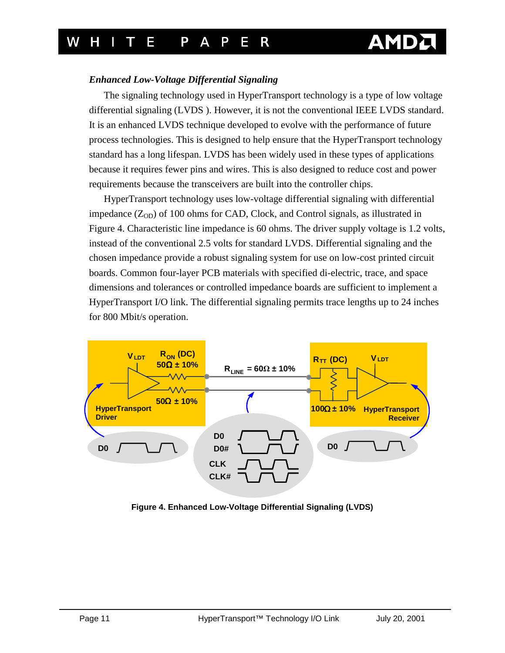#### <span id="page-10-0"></span>*Enhanced Low-Voltage Differential Signaling*

The signaling technology used in HyperTransport technology is a type of low voltage differential signaling (LVDS ). However, it is not the conventional IEEE LVDS standard. It is an enhanced LVDS technique developed to evolve with the performance of future process technologies. This is designed to help ensure that the HyperTransport technology standard has a long lifespan. LVDS has been widely used in these types of applications because it requires fewer pins and wires. This is also designed to reduce cost and power requirements because the transceivers are built into the controller chips.

HyperTransport technology uses low-voltage differential signaling with differential impedance  $(Z_{OD})$  of 100 ohms for CAD, Clock, and Control signals, as illustrated in Figure 4. Characteristic line impedance is 60 ohms. The driver supply voltage is 1.2 volts, instead of the conventional 2.5 volts for standard LVDS. Differential signaling and the chosen impedance provide a robust signaling system for use on low-cost printed circuit boards. Common four-layer PCB materials with specified di-electric, trace, and space dimensions and tolerances or controlled impedance boards are sufficient to implement a HyperTransport I/O link. The differential signaling permits trace lengths up to 24 inches for 800 Mbit/s operation.



**Figure 4. Enhanced Low-Voltage Differential Signaling (LVDS)**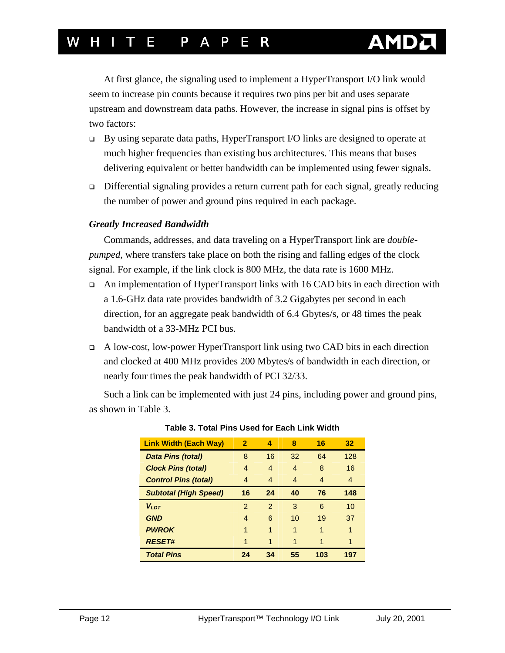# <span id="page-11-0"></span>H I T F P A P F R

At first glance, the signaling used to implement a HyperTransport I/O link would seem to increase pin counts because it requires two pins per bit and uses separate upstream and downstream data paths. However, the increase in signal pins is offset by two factors:

- ! By using separate data paths, HyperTransport I/O links are designed to operate at much higher frequencies than existing bus architectures. This means that buses delivering equivalent or better bandwidth can be implemented using fewer signals.
- ! Differential signaling provides a return current path for each signal, greatly reducing the number of power and ground pins required in each package.

#### *Greatly Increased Bandwidth*

Commands, addresses, and data traveling on a HyperTransport link are *doublepumped*, where transfers take place on both the rising and falling edges of the clock signal. For example, if the link clock is 800 MHz, the data rate is 1600 MHz.

- $\Box$  An implementation of HyperTransport links with 16 CAD bits in each direction with a 1.6-GHz data rate provides bandwidth of 3.2 Gigabytes per second in each direction, for an aggregate peak bandwidth of 6.4 Gbytes/s, or 48 times the peak bandwidth of a 33-MHz PCI bus.
- ! A low-cost, low-power HyperTransport link using two CAD bits in each direction and clocked at 400 MHz provides 200 Mbytes/s of bandwidth in each direction, or nearly four times the peak bandwidth of PCI 32/33.

Such a link can be implemented with just 24 pins, including power and ground pins, as shown in Table 3.

| <b>Link Width (Each Way)</b> | $\overline{2}$ | 4              | 8                | 16             | 32  |
|------------------------------|----------------|----------------|------------------|----------------|-----|
| <b>Data Pins (total)</b>     | 8              | 16             | 32               | 64             | 128 |
| <b>Clock Pins (total)</b>    | 4              | $\overline{4}$ | $\boldsymbol{A}$ | 8              | 16  |
| <b>Control Pins (total)</b>  | 4              | 4              | $\overline{4}$   | $\overline{4}$ | 4   |
| <b>Subtotal (High Speed)</b> | 16             | 24             | 40               | 76             | 148 |
| $V_{IDT}$                    | $\mathcal{P}$  | $\mathcal{P}$  | 3                | 6              | 10  |
| <b>GND</b>                   | 4              | 6              | 10               | 19             | 37  |
| <b>PWROK</b>                 | 1              | 1              | 1                | 1              | 1   |
| <b>RESET#</b>                | 1              | 1              | 1                | 1              | 1   |
| <b>Total Pins</b>            | 24             | 34             | 55               | 103            | 197 |

#### **Table 3. Total Pins Used for Each Link Width**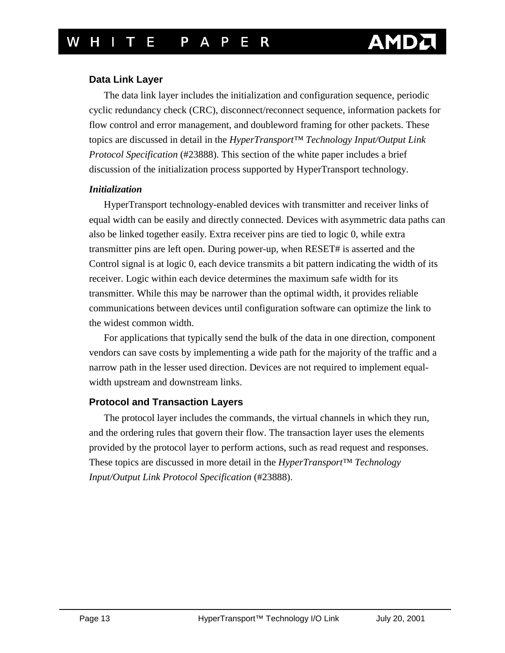#### <span id="page-12-0"></span>**Data Link Layer**

The data link layer includes the initialization and configuration sequence, periodic cyclic redundancy check (CRC), disconnect/reconnect sequence, information packets for flow control and error management, and doubleword framing for other packets. These topics are discussed in detail in the *HyperTransport™ Technology Input/Output Link Protocol Specification* (#23888). This section of the white paper includes a brief discussion of the initialization process supported by HyperTransport technology.

#### *Initialization*

HyperTransport technology-enabled devices with transmitter and receiver links of equal width can be easily and directly connected. Devices with asymmetric data paths can also be linked together easily. Extra receiver pins are tied to logic 0, while extra transmitter pins are left open. During power-up, when RESET# is asserted and the Control signal is at logic 0, each device transmits a bit pattern indicating the width of its receiver. Logic within each device determines the maximum safe width for its transmitter. While this may be narrower than the optimal width, it provides reliable communications between devices until configuration software can optimize the link to the widest common width.

For applications that typically send the bulk of the data in one direction, component vendors can save costs by implementing a wide path for the majority of the traffic and a narrow path in the lesser used direction. Devices are not required to implement equalwidth upstream and downstream links.

### **Protocol and Transaction Layers**

The protocol layer includes the commands, the virtual channels in which they run, and the ordering rules that govern their flow. The transaction layer uses the elements provided by the protocol layer to perform actions, such as read request and responses. These topics are discussed in more detail in the *HyperTransport™ Technology Input/Output Link Protocol Specification* (#23888).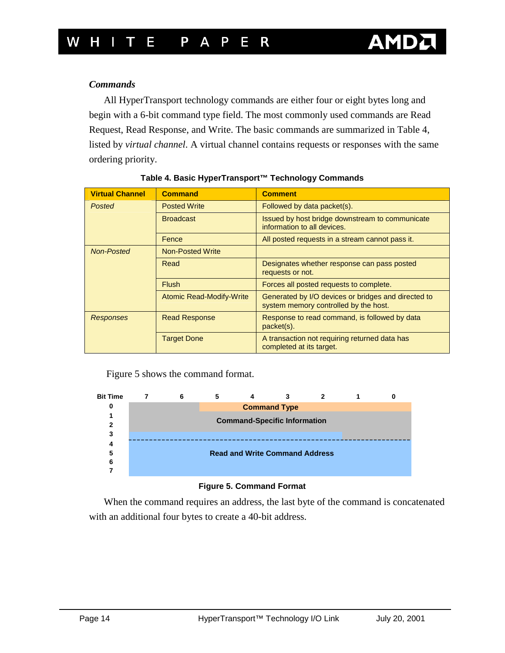#### <span id="page-13-0"></span>*Commands*

All HyperTransport technology commands are either four or eight bytes long and begin with a 6-bit command type field. The most commonly used commands are Read Request, Read Response, and Write. The basic commands are summarized in Table 4, listed by *virtual channel*. A virtual channel contains requests or responses with the same ordering priority.

| <b>Virtual Channel</b> | <b>Command</b>                  | <b>Comment</b>                                                                               |
|------------------------|---------------------------------|----------------------------------------------------------------------------------------------|
| Posted                 | <b>Posted Write</b>             | Followed by data packet(s).                                                                  |
|                        | <b>Broadcast</b>                | Issued by host bridge downstream to communicate<br>information to all devices.               |
|                        | Fence                           | All posted requests in a stream cannot pass it.                                              |
| <b>Non-Posted</b>      | <b>Non-Posted Write</b>         |                                                                                              |
|                        | Read                            | Designates whether response can pass posted<br>requests or not.                              |
|                        | <b>Flush</b>                    | Forces all posted requests to complete.                                                      |
|                        | <b>Atomic Read-Modify-Write</b> | Generated by I/O devices or bridges and directed to<br>system memory controlled by the host. |
| <b>Responses</b>       | <b>Read Response</b>            | Response to read command, is followed by data<br>packet(s).                                  |
|                        | <b>Target Done</b>              | A transaction not requiring returned data has<br>completed at its target.                    |

|  | Table 4. Basic HyperTransport™ Technology Commands |  |  |
|--|----------------------------------------------------|--|--|
|  |                                                    |  |  |

Figure 5 shows the command format.



#### **Figure 5. Command Format**

When the command requires an address, the last byte of the command is concatenated with an additional four bytes to create a 40-bit address.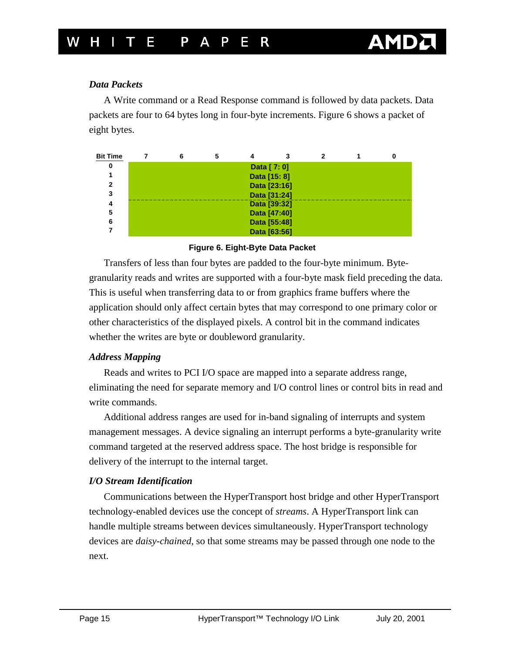#### <span id="page-14-0"></span>*Data Packets*

A Write command or a Read Response command is followed by data packets. Data packets are four to 64 bytes long in four-byte increments. Figure 6 shows a packet of eight bytes.

| <b>Bit Time</b> |              |  |  |              |  |  |  |
|-----------------|--------------|--|--|--------------|--|--|--|
| 0               | Data [ 7: 0] |  |  |              |  |  |  |
|                 | Data [15: 8] |  |  |              |  |  |  |
| 2               | Data [23:16] |  |  |              |  |  |  |
| 3               | Data [31:24] |  |  |              |  |  |  |
|                 | Data [39:32] |  |  |              |  |  |  |
| 5               | Data [47:40] |  |  |              |  |  |  |
| 6               |              |  |  | Data [55:48] |  |  |  |
|                 |              |  |  | Data [63:56] |  |  |  |

#### **Figure 6. Eight-Byte Data Packet**

Transfers of less than four bytes are padded to the four-byte minimum. Bytegranularity reads and writes are supported with a four-byte mask field preceding the data. This is useful when transferring data to or from graphics frame buffers where the application should only affect certain bytes that may correspond to one primary color or other characteristics of the displayed pixels. A control bit in the command indicates whether the writes are byte or doubleword granularity.

#### *Address Mapping*

Reads and writes to PCI I/O space are mapped into a separate address range, eliminating the need for separate memory and I/O control lines or control bits in read and write commands.

Additional address ranges are used for in-band signaling of interrupts and system management messages. A device signaling an interrupt performs a byte-granularity write command targeted at the reserved address space. The host bridge is responsible for delivery of the interrupt to the internal target.

#### *I/O Stream Identification*

Communications between the HyperTransport host bridge and other HyperTransport technology-enabled devices use the concept of *streams*. A HyperTransport link can handle multiple streams between devices simultaneously. HyperTransport technology devices are *daisy-chained*, so that some streams may be passed through one node to the next.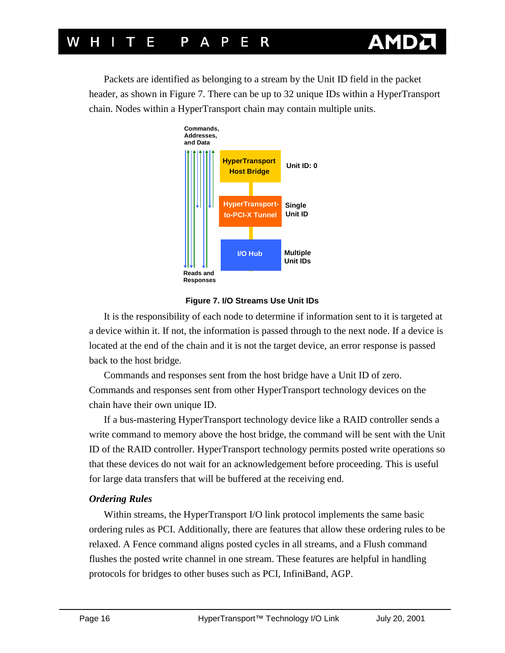<span id="page-15-0"></span>Packets are identified as belonging to a stream by the Unit ID field in the packet header, as shown in Figure 7. There can be up to 32 unique IDs within a HyperTransport chain. Nodes within a HyperTransport chain may contain multiple units.





It is the responsibility of each node to determine if information sent to it is targeted at a device within it. If not, the information is passed through to the next node. If a device is located at the end of the chain and it is not the target device, an error response is passed back to the host bridge.

Commands and responses sent from the host bridge have a Unit ID of zero. Commands and responses sent from other HyperTransport technology devices on the chain have their own unique ID.

If a bus-mastering HyperTransport technology device like a RAID controller sends a write command to memory above the host bridge, the command will be sent with the Unit ID of the RAID controller. HyperTransport technology permits posted write operations so that these devices do not wait for an acknowledgement before proceeding. This is useful for large data transfers that will be buffered at the receiving end.

#### *Ordering Rules*

Within streams, the HyperTransport I/O link protocol implements the same basic ordering rules as PCI. Additionally, there are features that allow these ordering rules to be relaxed. A Fence command aligns posted cycles in all streams, and a Flush command flushes the posted write channel in one stream. These features are helpful in handling protocols for bridges to other buses such as PCI, InfiniBand, AGP.

**AMI**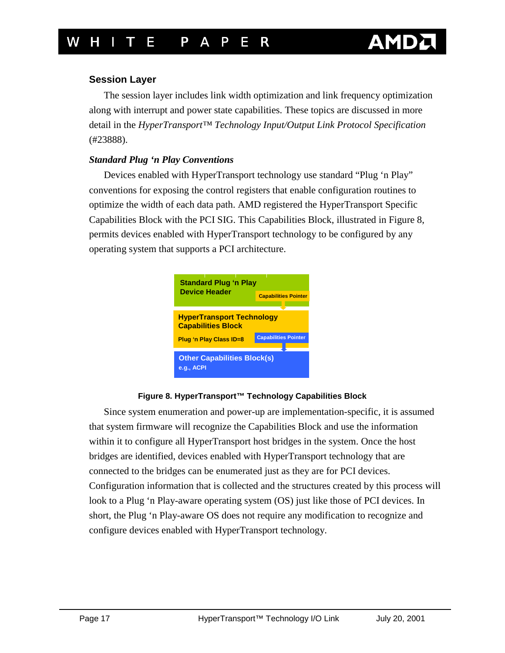#### <span id="page-16-0"></span>**Session Layer**

The session layer includes link width optimization and link frequency optimization along with interrupt and power state capabilities. These topics are discussed in more detail in the *HyperTransport™ Technology Input/Output Link Protocol Specification* (#23888).

#### *Standard Plug 'n Play Conventions*

Devices enabled with HyperTransport technology use standard "Plug 'n Play" conventions for exposing the control registers that enable configuration routines to optimize the width of each data path. AMD registered the HyperTransport Specific Capabilities Block with the PCI SIG. This Capabilities Block, illustrated in Figure 8, permits devices enabled with HyperTransport technology to be configured by any operating system that supports a PCI architecture.



#### **Figure 8. HyperTransport™ Technology Capabilities Block**

Since system enumeration and power-up are implementation-specific, it is assumed that system firmware will recognize the Capabilities Block and use the information within it to configure all HyperTransport host bridges in the system. Once the host bridges are identified, devices enabled with HyperTransport technology that are connected to the bridges can be enumerated just as they are for PCI devices. Configuration information that is collected and the structures created by this process will look to a Plug 'n Play-aware operating system (OS) just like those of PCI devices. In short, the Plug 'n Play-aware OS does not require any modification to recognize and configure devices enabled with HyperTransport technology.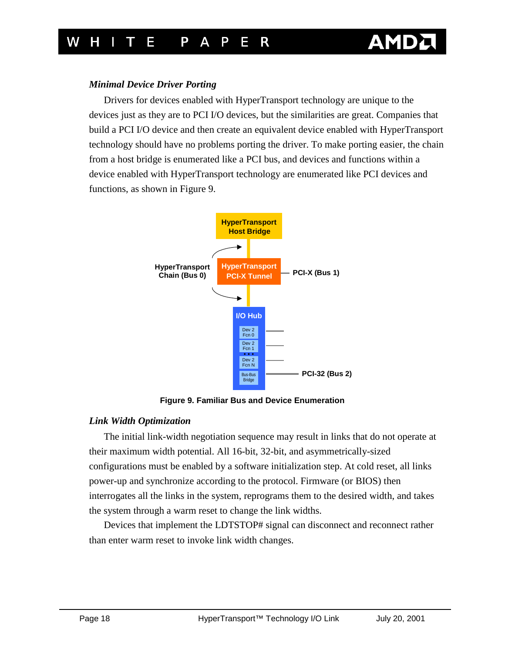

#### <span id="page-17-0"></span>*Minimal Device Driver Porting*

Drivers for devices enabled with HyperTransport technology are unique to the devices just as they are to PCI I/O devices, but the similarities are great. Companies that build a PCI I/O device and then create an equivalent device enabled with HyperTransport technology should have no problems porting the driver. To make porting easier, the chain from a host bridge is enumerated like a PCI bus, and devices and functions within a device enabled with HyperTransport technology are enumerated like PCI devices and functions, as shown in Figure 9.



**Figure 9. Familiar Bus and Device Enumeration** 

#### *Link Width Optimization*

The initial link-width negotiation sequence may result in links that do not operate at their maximum width potential. All 16-bit, 32-bit, and asymmetrically-sized configurations must be enabled by a software initialization step. At cold reset, all links power-up and synchronize according to the protocol. Firmware (or BIOS) then interrogates all the links in the system, reprograms them to the desired width, and takes the system through a warm reset to change the link widths.

Devices that implement the LDTSTOP# signal can disconnect and reconnect rather than enter warm reset to invoke link width changes.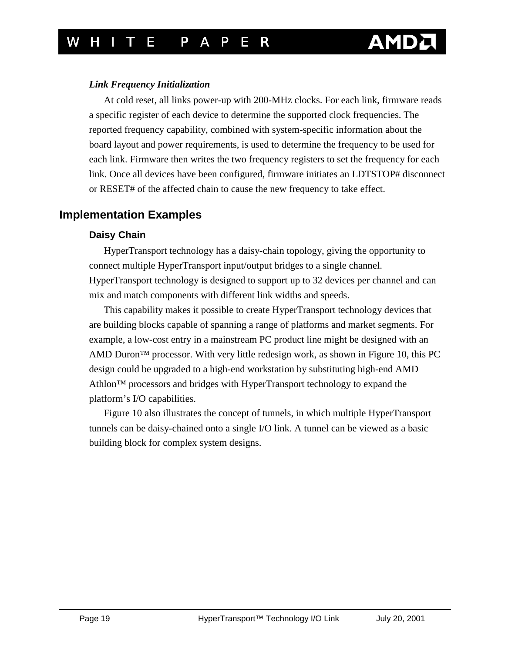#### <span id="page-18-0"></span>*Link Frequency Initialization*

At cold reset, all links power-up with 200-MHz clocks. For each link, firmware reads a specific register of each device to determine the supported clock frequencies. The reported frequency capability, combined with system-specific information about the board layout and power requirements, is used to determine the frequency to be used for each link. Firmware then writes the two frequency registers to set the frequency for each link. Once all devices have been configured, firmware initiates an LDTSTOP# disconnect or RESET# of the affected chain to cause the new frequency to take effect.

### **Implementation Examples**

#### **Daisy Chain**

HyperTransport technology has a daisy-chain topology, giving the opportunity to connect multiple HyperTransport input/output bridges to a single channel. HyperTransport technology is designed to support up to 32 devices per channel and can mix and match components with different link widths and speeds.

This capability makes it possible to create HyperTransport technology devices that are building blocks capable of spanning a range of platforms and market segments. For example, a low-cost entry in a mainstream PC product line might be designed with an AMD Duron<sup> $TM$ </sup> processor. With very little redesign work, as shown in [Figure 10,](#page-19-0) this PC design could be upgraded to a high-end workstation by substituting high-end AMD Athlon™ processors and bridges with HyperTransport technology to expand the platform's I/O capabilities.

[Figure 10 a](#page-19-0)lso illustrates the concept of tunnels, in which multiple HyperTransport tunnels can be daisy-chained onto a single I/O link. A tunnel can be viewed as a basic building block for complex system designs.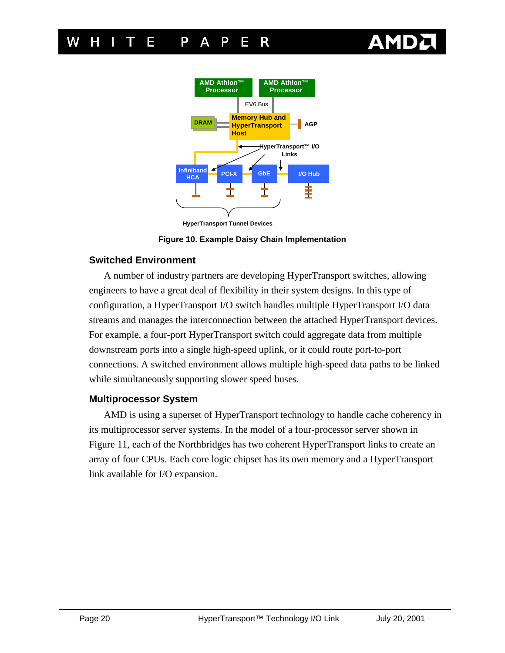

<span id="page-19-0"></span>

**HyperTransport Tunnel Devices**

**Figure 10. Example Daisy Chain Implementation** 

#### **Switched Environment**

A number of industry partners are developing HyperTransport switches, allowing engineers to have a great deal of flexibility in their system designs. In this type of configuration, a HyperTransport I/O switch handles multiple HyperTransport I/O data streams and manages the interconnection between the attached HyperTransport devices. For example, a four-port HyperTransport switch could aggregate data from multiple downstream ports into a single high-speed uplink, or it could route port-to-port connections. A switched environment allows multiple high-speed data paths to be linked while simultaneously supporting slower speed buses.

#### **Multiprocessor System**

AMD is using a superset of HyperTransport technology to handle cache coherency in its multiprocessor server systems. In the model of a four-processor server shown in [Figure 11,](#page-20-0) each of the Northbridges has two coherent HyperTransport links to create an array of four CPUs. Each core logic chipset has its own memory and a HyperTransport link available for I/O expansion.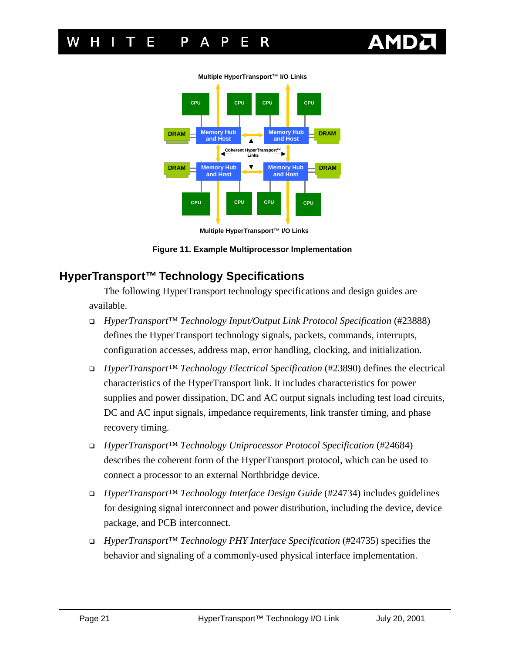

<span id="page-20-0"></span>

**Multiple HyperTransport™ I/O Links** 

**Multiple HyperTransport™ I/O Links** 

**Figure 11. Example Multiprocessor Implementation** 

### **HyperTransport™ Technology Specifications**

The following HyperTransport technology specifications and design guides are available.

- ! *HyperTransport™ Technology Input/Output Link Protocol Specification* (#23888) defines the HyperTransport technology signals, packets, commands, interrupts, configuration accesses, address map, error handling, clocking, and initialization.
- ! *HyperTransport™ Technology Electrical Specification* (#23890) defines the electrical characteristics of the HyperTransport link. It includes characteristics for power supplies and power dissipation, DC and AC output signals including test load circuits, DC and AC input signals, impedance requirements, link transfer timing, and phase recovery timing.
- ! *HyperTransport™ Technology Uniprocessor Protocol Specification* (#24684) describes the coherent form of the HyperTransport protocol, which can be used to connect a processor to an external Northbridge device.
- ! *HyperTransport™ Technology Interface Design Guide* (#24734) includes guidelines for designing signal interconnect and power distribution, including the device, device package, and PCB interconnect.
- ! *HyperTransport™ Technology PHY Interface Specification* (#24735) specifies the behavior and signaling of a commonly-used physical interface implementation.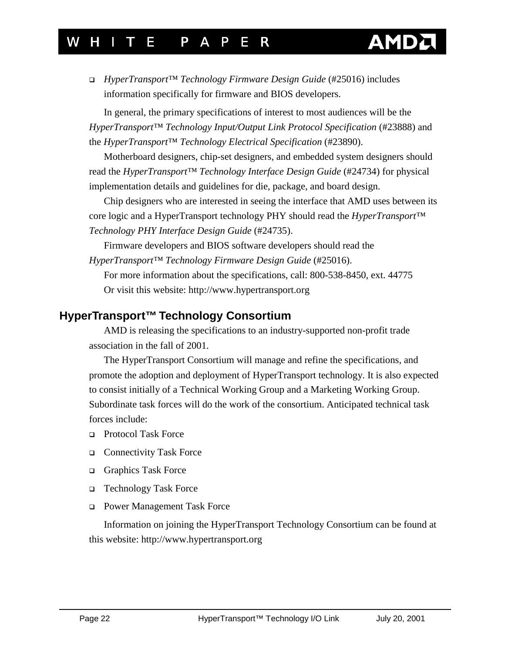## <span id="page-21-0"></span>T F P A P F R

! *HyperTransport™ Technology Firmware Design Guide* (#25016) includes information specifically for firmware and BIOS developers.

In general, the primary specifications of interest to most audiences will be the *HyperTransport™ Technology Input/Output Link Protocol Specification* (#23888) and the *HyperTransport™ Technology Electrical Specification* (#23890).

Motherboard designers, chip-set designers, and embedded system designers should read the *HyperTransport™ Technology Interface Design Guide* (#24734) for physical implementation details and guidelines for die, package, and board design.

Chip designers who are interested in seeing the interface that AMD uses between its core logic and a HyperTransport technology PHY should read the *HyperTransport™ Technology PHY Interface Design Guide* (#24735).

Firmware developers and BIOS software developers should read the *HyperTransport™ Technology Firmware Design Guide* (#25016).

For more information about the specifications, call: 800-538-8450, ext. 44775 Or visit this website: <http://www.hypertransport.org>

### **HyperTransport™ Technology Consortium**

AMD is releasing the specifications to an industry-supported non-profit trade association in the fall of 2001.

The HyperTransport Consortium will manage and refine the specifications, and promote the adoption and deployment of HyperTransport technology. It is also expected to consist initially of a Technical Working Group and a Marketing Working Group. Subordinate task forces will do the work of the consortium. Anticipated technical task forces include:

- □ Protocol Task Force
- □ Connectivity Task Force
- □ Graphics Task Force
- □ Technology Task Force
- □ Power Management Task Force

Information on joining the HyperTransport Technology Consortium can be found at this website:<http://www.hypertransport.org>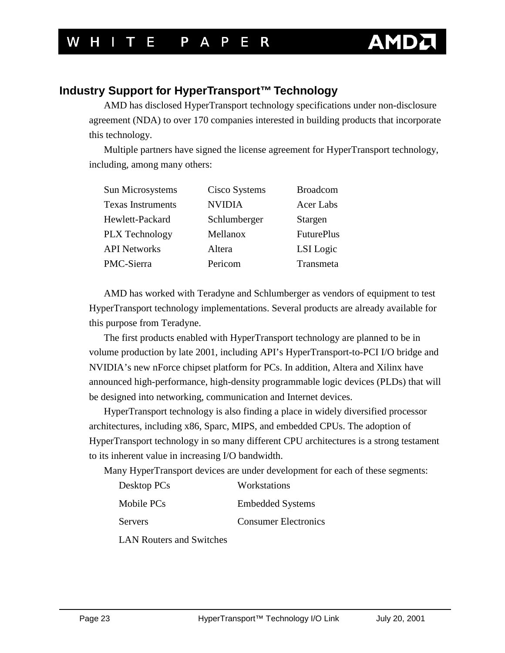## <span id="page-22-0"></span>**Industry Support for HyperTransport™ Technology**

AMD has disclosed HyperTransport technology specifications under non-disclosure agreement (NDA) to over 170 companies interested in building products that incorporate this technology.

Multiple partners have signed the license agreement for HyperTransport technology, including, among many others:

| Sun Microsystems         | Cisco Systems | <b>Broadcom</b>   |
|--------------------------|---------------|-------------------|
| <b>Texas Instruments</b> | <b>NVIDIA</b> | Acer Labs         |
| Hewlett-Packard          | Schlumberger  | Stargen           |
| PLX Technology           | Mellanox      | <b>FuturePlus</b> |
| <b>API Networks</b>      | Altera        | LSI Logic         |
| PMC-Sierra               | Pericom       | Transmeta         |

AMD has worked with Teradyne and Schlumberger as vendors of equipment to test HyperTransport technology implementations. Several products are already available for this purpose from Teradyne.

The first products enabled with HyperTransport technology are planned to be in volume production by late 2001, including API's HyperTransport-to-PCI I/O bridge and NVIDIA's new nForce chipset platform for PCs. In addition, Altera and Xilinx have announced high-performance, high-density programmable logic devices (PLDs) that will be designed into networking, communication and Internet devices.

HyperTransport technology is also finding a place in widely diversified processor architectures, including x86, Sparc, MIPS, and embedded CPUs. The adoption of HyperTransport technology in so many different CPU architectures is a strong testament to its inherent value in increasing I/O bandwidth.

Many HyperTransport devices are under development for each of these segments:

| Desktop PCs    | Workstations                |
|----------------|-----------------------------|
| Mobile PCs     | <b>Embedded Systems</b>     |
| <b>Servers</b> | <b>Consumer Electronics</b> |

LAN Routers and Switches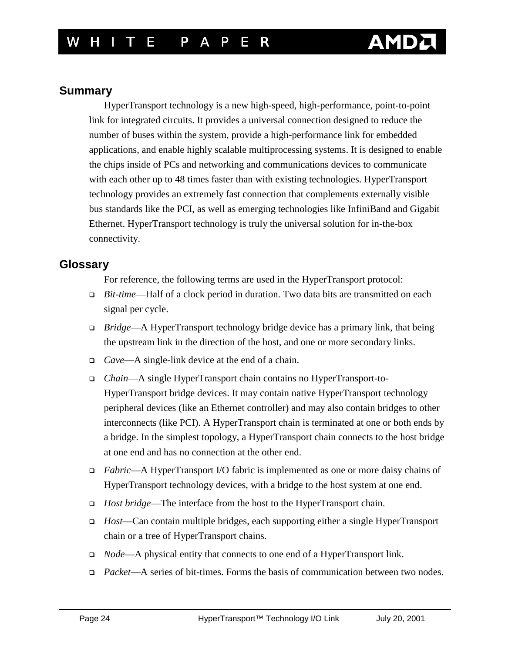### <span id="page-23-0"></span>**Summary**

HyperTransport technology is a new high-speed, high-performance, point-to-point link for integrated circuits. It provides a universal connection designed to reduce the number of buses within the system, provide a high-performance link for embedded applications, and enable highly scalable multiprocessing systems. It is designed to enable the chips inside of PCs and networking and communications devices to communicate with each other up to 48 times faster than with existing technologies. HyperTransport technology provides an extremely fast connection that complements externally visible bus standards like the PCI, as well as emerging technologies like InfiniBand and Gigabit Ethernet. HyperTransport technology is truly the universal solution for in-the-box connectivity.

### **Glossary**

For reference, the following terms are used in the HyperTransport protocol:

- ! *Bit-time*—Half of a clock period in duration. Two data bits are transmitted on each signal per cycle.
- ! *Bridge*—A HyperTransport technology bridge device has a primary link, that being the upstream link in the direction of the host, and one or more secondary links.
- ! *Cave*—A single-link device at the end of a chain.
- ! *Chain*—A single HyperTransport chain contains no HyperTransport-to-HyperTransport bridge devices. It may contain native HyperTransport technology peripheral devices (like an Ethernet controller) and may also contain bridges to other interconnects (like PCI). A HyperTransport chain is terminated at one or both ends by a bridge. In the simplest topology, a HyperTransport chain connects to the host bridge at one end and has no connection at the other end.
- ! *Fabric*—A HyperTransport I/O fabric is implemented as one or more daisy chains of HyperTransport technology devices, with a bridge to the host system at one end.
- ! *Host bridge*—The interface from the host to the HyperTransport chain.
- ! *Host*—Can contain multiple bridges, each supporting either a single HyperTransport chain or a tree of HyperTransport chains.
- ! *Node*—A physical entity that connects to one end of a HyperTransport link.
- ! *Packet*—A series of bit-times. Forms the basis of communication between two nodes.